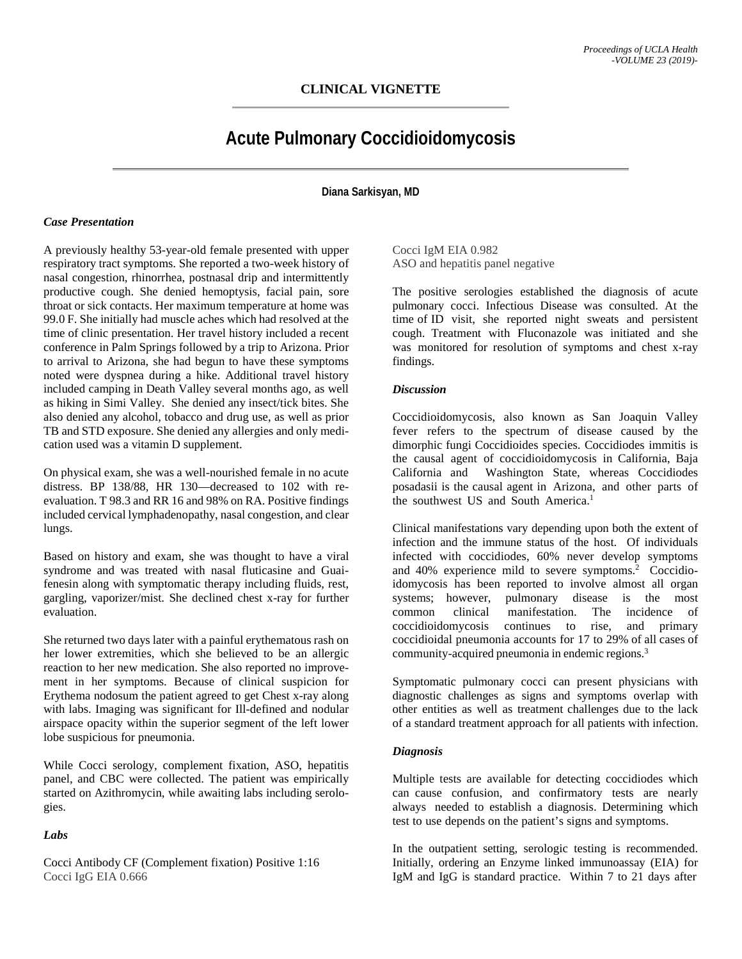## **CLINICAL VIGNETTE**

# **Acute Pulmonary Coccidioidomycosis**

**Diana Sarkisyan, MD**

#### *Case Presentation*

A previously healthy 53-year-old female presented with upper respiratory tract symptoms. She reported a two-week history of nasal congestion, rhinorrhea, postnasal drip and intermittently productive cough. She denied hemoptysis, facial pain, sore throat or sick contacts. Her maximum temperature at home was 99.0 F. She initially had muscle aches which had resolved at the time of clinic presentation. Her travel history included a recent conference in Palm Springs followed by a trip to Arizona. Prior to arrival to Arizona, she had begun to have these symptoms noted were dyspnea during a hike. Additional travel history included camping in Death Valley several months ago, as well as hiking in Simi Valley. She denied any insect/tick bites. She also denied any alcohol, tobacco and drug use, as well as prior TB and STD exposure. She denied any allergies and only medication used was a vitamin D supplement.

On physical exam, she was a well-nourished female in no acute distress. BP 138/88, HR 130—decreased to 102 with reevaluation. T 98.3 and RR 16 and 98% on RA. Positive findings included cervical lymphadenopathy, nasal congestion, and clear lungs.

Based on history and exam, she was thought to have a viral syndrome and was treated with nasal fluticasine and Guaifenesin along with symptomatic therapy including fluids, rest, gargling, vaporizer/mist. She declined chest x-ray for further evaluation.

She returned two days later with a painful erythematous rash on her lower extremities, which she believed to be an allergic reaction to her new medication. She also reported no improvement in her symptoms. Because of clinical suspicion for Erythema nodosum the patient agreed to get Chest x-ray along with labs. Imaging was significant for Ill-defined and nodular airspace opacity within the superior segment of the left lower lobe suspicious for pneumonia.

While Cocci serology, complement fixation, ASO, hepatitis panel, and CBC were collected. The patient was empirically started on Azithromycin, while awaiting labs including serologies.

## *Labs*

Cocci Antibody CF (Complement fixation) Positive 1:16 Cocci IgG EIA 0.666

Cocci IgM EIA 0.982 ASO and hepatitis panel negative

The positive serologies established the diagnosis of acute pulmonary cocci. Infectious Disease was consulted. At the time of ID visit, she reported night sweats and persistent cough. Treatment with Fluconazole was initiated and she was monitored for resolution of symptoms and chest x-ray findings.

#### *Discussion*

Coccidioidomycosis, also known as San Joaquin Valley fever refers to the spectrum of disease caused by the dimorphic fungi Coccidioides species. Coccidiodes immitis is the causal agent of coccidioidomycosis in California, Baja California and Washington State, whereas Coccidiodes posadasii is the causal agent in Arizona, and other parts of the southwest US and South America. 1

Clinical manifestations vary depending upon both the extent of infection and the immune status of the host. Of individuals infected with coccidiodes, 60% never develop symptoms and 40% experience mild to severe symptoms. <sup>2</sup> Coccidioidomycosis has been reported to involve almost all organ systems; however, pulmonary disease is the most common clinical manifestation. The incidence of coccidioidomycosis continues to rise, and primary coccidioidal pneumonia accounts for 17 to 29% of all cases of community-acquired pneumonia in endemic regions. 3

Symptomatic pulmonary cocci can present physicians with diagnostic challenges as signs and symptoms overlap with other entities as well as treatment challenges due to the lack of a standard treatment approach for all patients with infection.

## *Diagnosis*

Multiple tests are available for detecting coccidiodes which can cause confusion, and confirmatory tests are nearly always needed to establish a diagnosis. Determining which test to use depends on the patient's signs and symptoms.

In the outpatient setting, serologic testing is recommended. Initially, ordering an Enzyme linked immunoassay (EIA) for IgM and IgG is standard practice. Within 7 to 21 days after